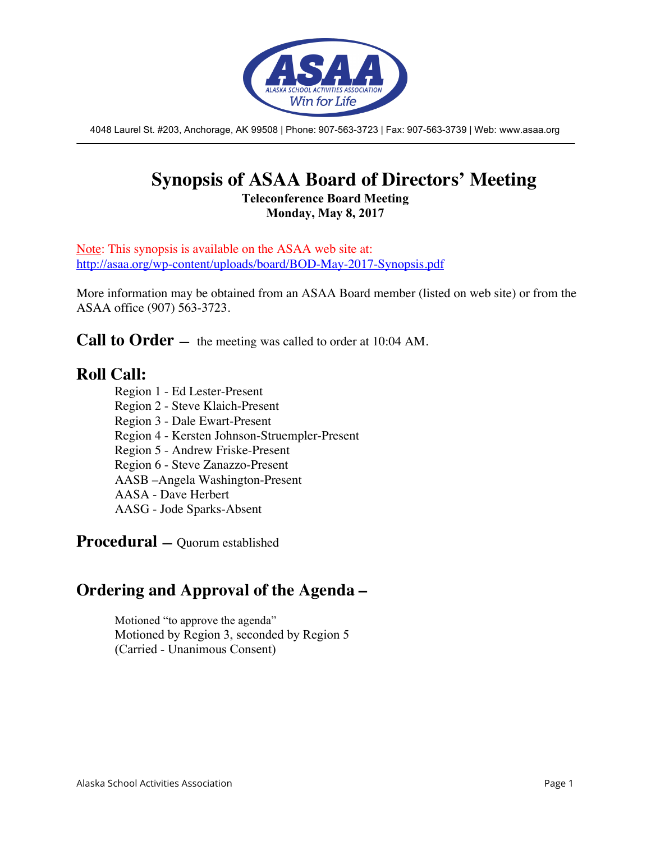

4048 Laurel St. #203, Anchorage, AK 99508 | Phone: 907-563-3723 | Fax: 907-563-3739 | Web: www.asaa.org

### **Synopsis of ASAA Board of Directors' Meeting Teleconference Board Meeting**

**Monday, May 8, 2017**

Note: This synopsis is available on the ASAA web site at: http://asaa.org/wp-content/uploads/board/BOD-May-2017-Synopsis.pdf

More information may be obtained from an ASAA Board member (listed on web site) or from the ASAA office (907) 563-3723.

**Call to Order** — the meeting was called to order at 10:04 AM.

### **Roll Call:**

- Region 1 Ed Lester-Present
- Region 2 Steve Klaich-Present
- Region 3 Dale Ewart-Present
- Region 4 Kersten Johnson-Struempler-Present
- Region 5 Andrew Friske-Present
- Region 6 Steve Zanazzo-Present
- AASB –Angela Washington-Present
- AASA Dave Herbert
- AASG Jode Sparks-Absent

**Procedural —** Quorum established

### **Ordering and Approval of the Agenda –**

Motioned "to approve the agenda" Motioned by Region 3, seconded by Region 5 (Carried - Unanimous Consent)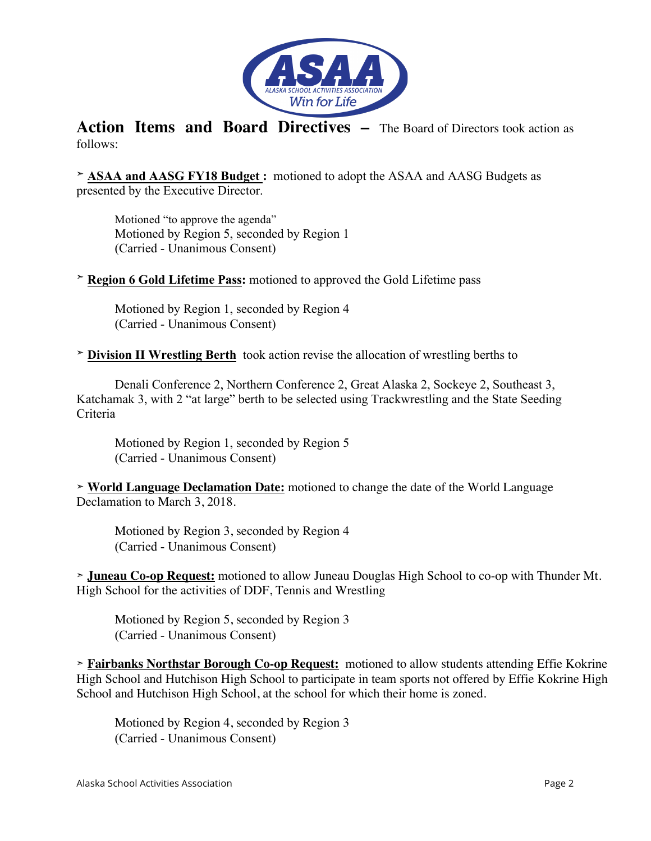

**Action Items and Board Directives –** The Board of Directors took action as follows:

➣ **ASAA and AASG FY18 Budget :** motioned to adopt the ASAA and AASG Budgets as presented by the Executive Director.

Motioned "to approve the agenda" Motioned by Region 5, seconded by Region 1 (Carried - Unanimous Consent)

➣ **Region 6 Gold Lifetime Pass:** motioned to approved the Gold Lifetime pass

Motioned by Region 1, seconded by Region 4 (Carried - Unanimous Consent)

➣ **Division II Wrestling Berth** took action revise the allocation of wrestling berths to

Denali Conference 2, Northern Conference 2, Great Alaska 2, Sockeye 2, Southeast 3, Katchamak 3, with 2 "at large" berth to be selected using Trackwrestling and the State Seeding Criteria

Motioned by Region 1, seconded by Region 5 (Carried - Unanimous Consent)

➣ **World Language Declamation Date:** motioned to change the date of the World Language Declamation to March 3, 2018.

Motioned by Region 3, seconded by Region 4 (Carried - Unanimous Consent)

➣ **Juneau Co-op Request:** motioned to allow Juneau Douglas High School to co-op with Thunder Mt. High School for the activities of DDF, Tennis and Wrestling

Motioned by Region 5, seconded by Region 3 (Carried - Unanimous Consent)

**➣ Fairbanks Northstar Borough Co-op Request:** motioned to allow students attending Effie Kokrine High School and Hutchison High School to participate in team sports not offered by Effie Kokrine High School and Hutchison High School, at the school for which their home is zoned.

Motioned by Region 4, seconded by Region 3 (Carried - Unanimous Consent)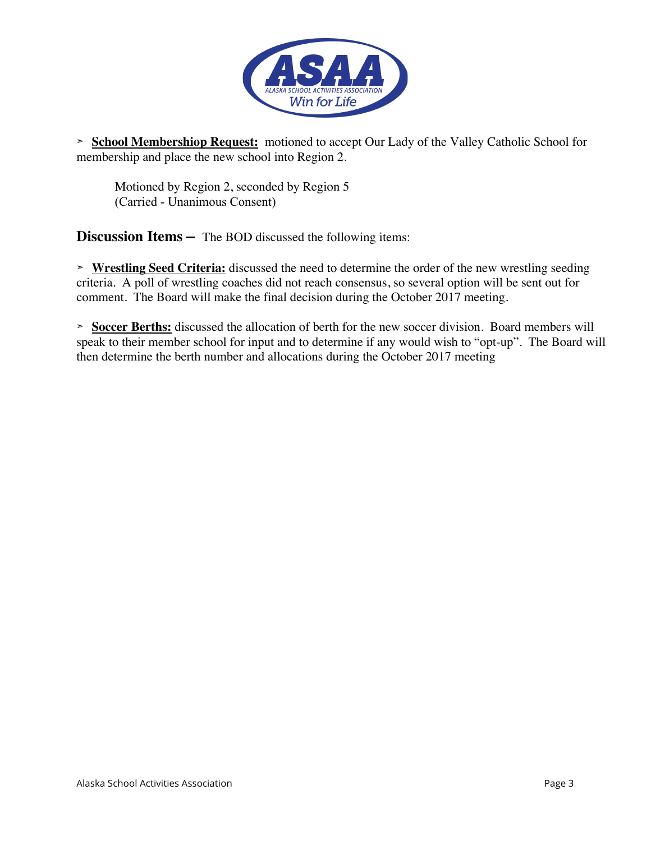

➣ **School Membershiop Request:** motioned to accept Our Lady of the Valley Catholic School for membership and place the new school into Region 2.

Motioned by Region 2, seconded by Region 5 (Carried - Unanimous Consent)

**Discussion Items –** The BOD discussed the following items:

➣ **Wrestling Seed Criteria:** discussed the need to determine the order of the new wrestling seeding criteria. A poll of wrestling coaches did not reach consensus, so several option will be sent out for comment. The Board will make the final decision during the October 2017 meeting.

➣ **Soccer Berths:** discussed the allocation of berth for the new soccer division. Board members will speak to their member school for input and to determine if any would wish to "opt-up". The Board will then determine the berth number and allocations during the October 2017 meeting